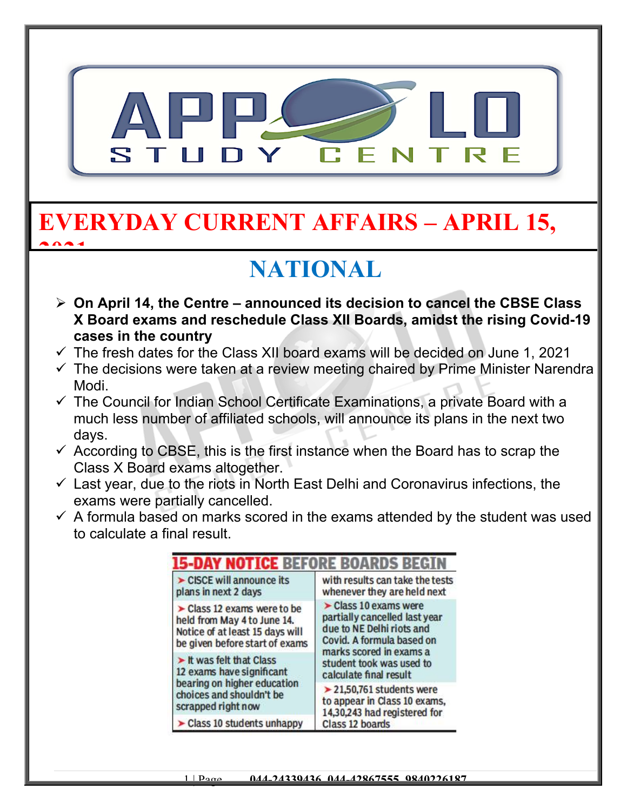

## **EVERYDAY CURRENT AFFAIRS – APRIL 15, 2021**

## **NATIONAL**

- **On April 14, the Centre announced its decision to cancel the CBSE Class X Board exams and reschedule Class XII Boards, amidst the rising Covid-19 cases in the country**
- $\checkmark$  The fresh dates for the Class XII board exams will be decided on June 1, 2021
- $\checkmark$  The decisions were taken at a review meeting chaired by Prime Minister Narendra Modi.
- $\checkmark$  The Council for Indian School Certificate Examinations, a private Board with a much less number of affiliated schools, will announce its plans in the next two days.
- $\checkmark$  According to CBSE, this is the first instance when the Board has to scrap the Class X Board exams altogether.
- $\checkmark$  Last year, due to the riots in North East Delhi and Coronavirus infections, the exams were partially cancelled.
- $\checkmark$  A formula based on marks scored in the exams attended by the student was used to calculate a final result.

| CISCE will announce its<br>plans in next 2 days                                                                                                | with results can take the tests<br>whenever they are held next                                                                                                                                                   |
|------------------------------------------------------------------------------------------------------------------------------------------------|------------------------------------------------------------------------------------------------------------------------------------------------------------------------------------------------------------------|
| $\triangleright$ Class 12 exams were to be<br>held from May 4 to June 14.<br>Notice of at least 15 days will<br>be given before start of exams | $\triangleright$ Class 10 exams were<br>partially cancelled last year<br>due to NE Delhi riots and<br>Covid. A formula based on<br>marks scored in exams a<br>student took was used to<br>calculate final result |
| It was felt that Class<br>12 exams have significant<br>bearing on higher education<br>choices and shouldn't be<br>scrapped right now           |                                                                                                                                                                                                                  |
|                                                                                                                                                | $\geq$ 21,50,761 students were<br>to appear in Class 10 exams,<br>14,30,243 had registered for<br>Class 12 boards                                                                                                |
| Class 10 students unhappy                                                                                                                      |                                                                                                                                                                                                                  |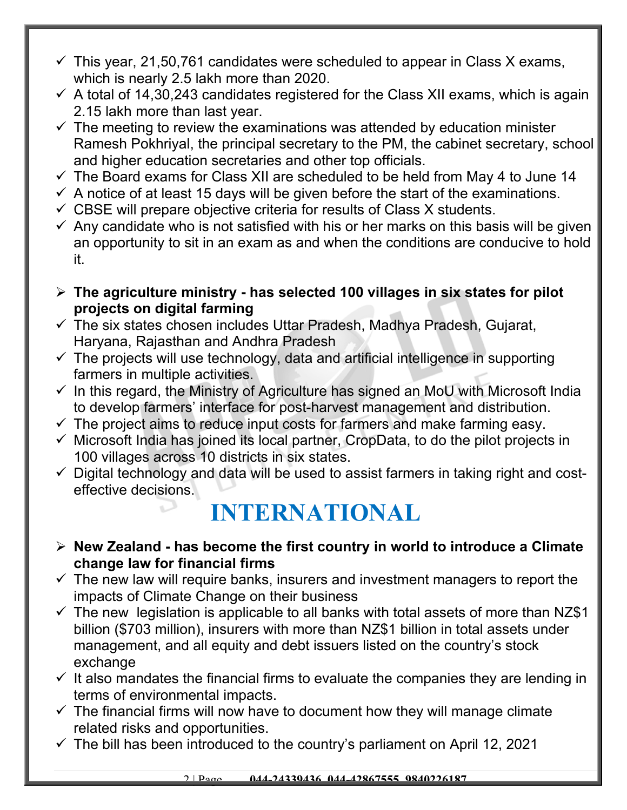- $\checkmark$  This year, 21,50,761 candidates were scheduled to appear in Class X exams, which is nearly 2.5 lakh more than 2020.
- $\checkmark$  A total of 14,30,243 candidates registered for the Class XII exams, which is again 2.15 lakh more than last year.
- $\checkmark$  The meeting to review the examinations was attended by education minister Ramesh Pokhriyal, the principal secretary to the PM, the cabinet secretary, school and higher education secretaries and other top officials.
- $\checkmark$  The Board exams for Class XII are scheduled to be held from May 4 to June 14
- $\checkmark$  A notice of at least 15 days will be given before the start of the examinations.
- $\checkmark$  CBSE will prepare objective criteria for results of Class X students.
- $\checkmark$  Any candidate who is not satisfied with his or her marks on this basis will be given an opportunity to sit in an exam as and when the conditions are conducive to hold it.
- **The agriculture ministry has selected 100 villages in six states for pilot projects on digital farming**
- $\checkmark$  The six states chosen includes Uttar Pradesh, Madhya Pradesh, Gujarat, Haryana, Rajasthan and Andhra Pradesh
- $\checkmark$  The projects will use technology, data and artificial intelligence in supporting farmers in multiple activities.
- $\checkmark$  In this regard, the Ministry of Agriculture has signed an MoU with Microsoft India to develop farmers' interface for post-harvest management and distribution.
- $\checkmark$  The project aims to reduce input costs for farmers and make farming easy.
- $\checkmark$  Microsoft India has joined its local partner, CropData, to do the pilot projects in 100 villages across 10 districts in six states.
- $\checkmark$  Digital technology and data will be used to assist farmers in taking right and costeffective decisions.

## **INTERNATIONAL**

- **New Zealand has become the first country in world to introduce a Climate change law for financial firms**
- $\checkmark$  The new law will require banks, insurers and investment managers to report the impacts of Climate Change on their business
- $\checkmark$  The new legislation is applicable to all banks with total assets of more than NZ\$1 billion (\$703 million), insurers with more than NZ\$1 billion in total assets under management, and all equity and debt issuers listed on the country's stock exchange
- $\checkmark$  It also mandates the financial firms to evaluate the companies they are lending in terms of environmental impacts.
- $\checkmark$  The financial firms will now have to document how they will manage climate related risks and opportunities.
- $\checkmark$  The bill has been introduced to the country's parliament on April 12, 2021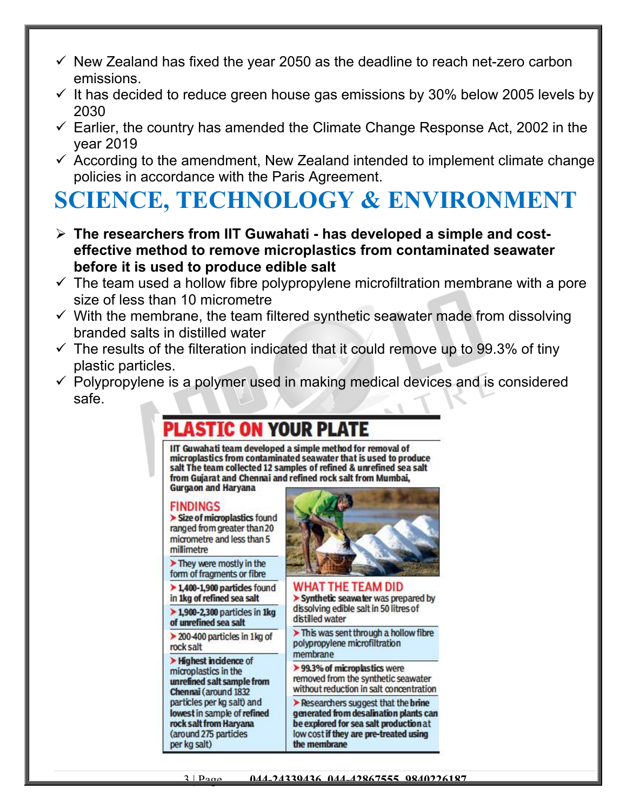- $\checkmark$  New Zealand has fixed the year 2050 as the deadline to reach net-zero carbon emissions.
- $\checkmark$  It has decided to reduce green house gas emissions by 30% below 2005 levels by 2030
- $\checkmark$  Earlier, the country has amended the Climate Change Response Act, 2002 in the year 2019
- $\checkmark$  According to the amendment, New Zealand intended to implement climate change policies in accordance with the Paris Agreement.

# **SCIENCE, TECHNOLOGY & ENVIRONMENT**

- **The researchers from IIT Guwahati has developed a simple and costeffective method to remove microplastics from contaminated seawater before it is used to produce edible salt**
- $\checkmark$  The team used a hollow fibre polypropylene microfiltration membrane with a pore size of less than 10 micrometre
- $\checkmark$  With the membrane, the team filtered synthetic seawater made from dissolving branded salts in distilled water
- $\checkmark$  The results of the filteration indicated that it could remove up to 99.3% of tiny plastic particles.
- $\checkmark$  Polypropylene is a polymer used in making medical devices and is considered safe.

### Plastic on your plate

IIT Guwahati team developed a simple method for removal of microplastics from contaminated seawater that is used to produce salt The team collected 12 samples of refined & unrefined sea salt from Gujarat and Chennai and refined rock salt from Mumbai, **Gurgaon and Haryana** 

### **FINDINGS**

> Size of microplastics found ranged from greater than 20 micrometre and less than 5 millimetre

> They were mostly in the form of fragments or fibre

 $\triangleright$  1,400-1,900 particles found in 1kg of refined sea salt

 $\triangleright$  1,900-2,300 particles in 1kg of unrefined sea salt

 $\geq$  200-400 particles in 1 kg of rock salt

> Highest incidence of microplastics in the unrefined salt sample from Chennai (around 1832 particles per kg salt) and lowest in sample of refined rock salt from Haryana (around 275 particles per kg salt)



### **WHAT THE TEAM DID**

> Synthetic seawater was prepared by dissolving edible salt in 50 litres of distilled water

> This was sent through a hollow fibre polypropylene microfiltration membrane

> 99.3% of microplastics were removed from the synthetic seawater without reduction in salt concentration

Researchers suggest that the brine generated from desalination plants can be explored for sea salt production at low cost if they are pre-treated using the membrane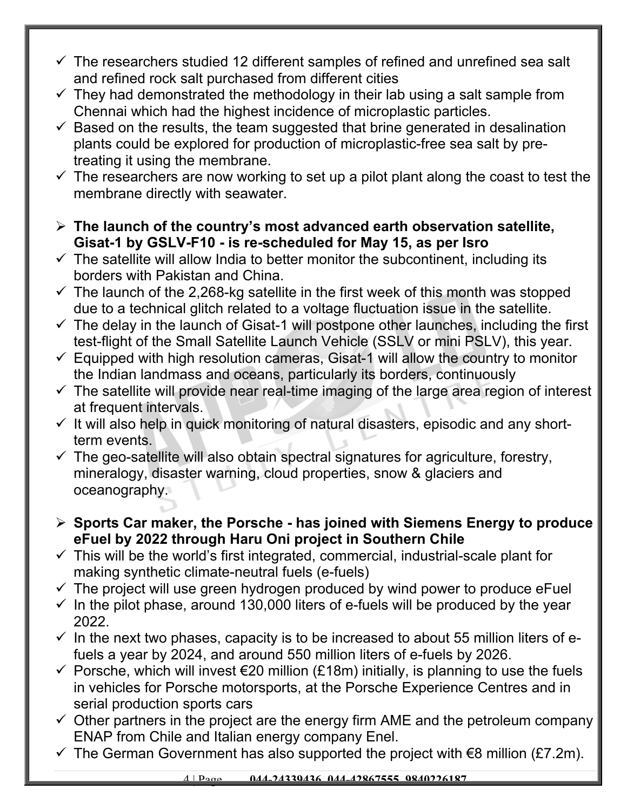- $\checkmark$  The researchers studied 12 different samples of refined and unrefined sea salt and refined rock salt purchased from different cities
- $\checkmark$  They had demonstrated the methodology in their lab using a salt sample from Chennai which had the highest incidence of microplastic particles.
- $\checkmark$  Based on the results, the team suggested that brine generated in desalination plants could be explored for production of microplastic-free sea salt by pretreating it using the membrane.
- $\checkmark$  The researchers are now working to set up a pilot plant along the coast to test the membrane directly with seawater.
- **The launch of the country's most advanced earth observation satellite, Gisat-1 by GSLV-F10 - is re-scheduled for May 15, as per Isro**
- $\checkmark$  The satellite will allow India to better monitor the subcontinent, including its borders with Pakistan and China.
- $\checkmark$  The launch of the 2,268-kg satellite in the first week of this month was stopped due to a technical glitch related to a voltage fluctuation issue in the satellite.
- $\checkmark$  The delay in the launch of Gisat-1 will postpone other launches, including the first test-flight of the Small Satellite Launch Vehicle (SSLV or mini PSLV), this year.
- $\checkmark$  Equipped with high resolution cameras, Gisat-1 will allow the country to monitor the Indian landmass and oceans, particularly its borders, continuously
- $\checkmark$  The satellite will provide near real-time imaging of the large area region of interest at frequent intervals.
- $\checkmark$  It will also help in quick monitoring of natural disasters, episodic and any shortterm events.
- $\checkmark$  The geo-satellite will also obtain spectral signatures for agriculture, forestry, mineralogy, disaster warning, cloud properties, snow & glaciers and oceanography.
- **Sports Car maker, the Porsche has joined with Siemens Energy to produce eFuel by 2022 through Haru Oni project in Southern Chile**
- $\checkmark$  This will be the world's first integrated, commercial, industrial-scale plant for making synthetic climate-neutral fuels (e-fuels)
- $\checkmark$  The project will use green hydrogen produced by wind power to produce eFuel
- $\checkmark$  In the pilot phase, around 130,000 liters of e-fuels will be produced by the year 2022.
- $\checkmark$  In the next two phases, capacity is to be increased to about 55 million liters of efuels a year by 2024, and around 550 million liters of e-fuels by 2026.
- $\checkmark$  Porsche, which will invest  $\hat{\epsilon}$ 20 million (£18m) initially, is planning to use the fuels in vehicles for Porsche motorsports, at the Porsche Experience Centres and in serial production sports cars
- $\checkmark$  Other partners in the project are the energy firm AME and the petroleum company ENAP from Chile and Italian energy company Enel.
- $\checkmark$  The German Government has also supported the project with  $\epsilon$ 8 million (£7.2m).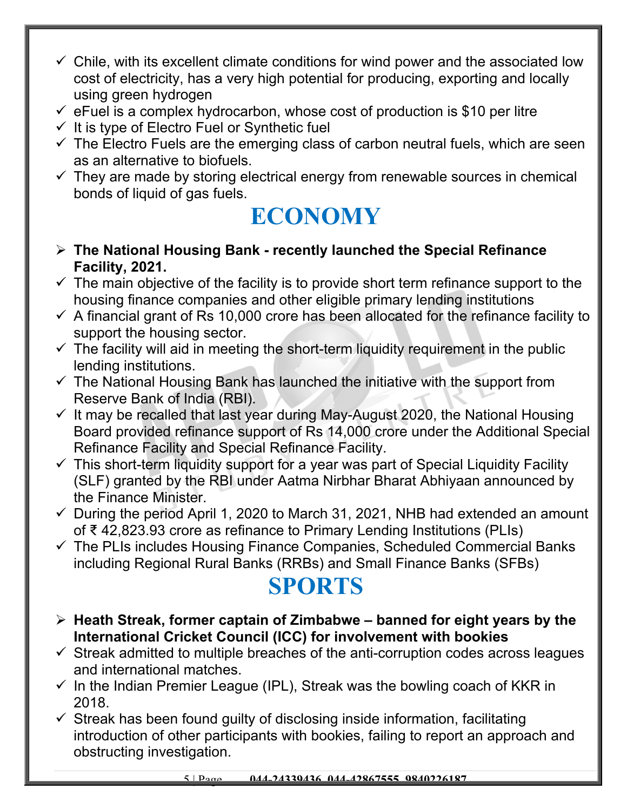- $\checkmark$  Chile, with its excellent climate conditions for wind power and the associated low cost of electricity, has a very high potential for producing, exporting and locally using green hydrogen
- $\checkmark$  eFuel is a complex hydrocarbon, whose cost of production is \$10 per litre
- $\checkmark$  It is type of Electro Fuel or Synthetic fuel
- $\checkmark$  The Electro Fuels are the emerging class of carbon neutral fuels, which are seen as an alternative to biofuels.
- $\checkmark$  They are made by storing electrical energy from renewable sources in chemical bonds of liquid of gas fuels.

## **ECONOMY**

- **The National Housing Bank recently launched the Special Refinance Facility, 2021.**
- $\checkmark$  The main objective of the facility is to provide short term refinance support to the housing finance companies and other eligible primary lending institutions
- $\checkmark$  A financial grant of Rs 10,000 crore has been allocated for the refinance facility to support the housing sector.
- $\checkmark$  The facility will aid in meeting the short-term liquidity requirement in the public lending institutions.
- $\checkmark$  The National Housing Bank has launched the initiative with the support from Reserve Bank of India (RBI).
- $\checkmark$  It may be recalled that last year during May-August 2020, the National Housing Board provided refinance support of Rs 14,000 crore under the Additional Special Refinance Facility and Special Refinance Facility.
- $\checkmark$  This short-term liquidity support for a year was part of Special Liquidity Facility (SLF) granted by the RBI under Aatma Nirbhar Bharat Abhiyaan announced by the Finance Minister.
- $\checkmark$  During the period April 1, 2020 to March 31, 2021, NHB had extended an amount of ₹ 42,823.93 crore as refinance to Primary Lending Institutions (PLIs)
- $\checkmark$  The PLIs includes Housing Finance Companies, Scheduled Commercial Banks including Regional Rural Banks (RRBs) and Small Finance Banks (SFBs)

## **SPORTS**

- **Heath Streak, former captain of Zimbabwe banned for eight years by the International Cricket Council (ICC) for involvement with bookies**
- $\checkmark$  Streak admitted to multiple breaches of the anti-corruption codes across leagues and international matches.
- $\checkmark$  In the Indian Premier League (IPL), Streak was the bowling coach of KKR in 2018.
- $\checkmark$  Streak has been found guilty of disclosing inside information, facilitating introduction of other participants with bookies, failing to report an approach and obstructing investigation.